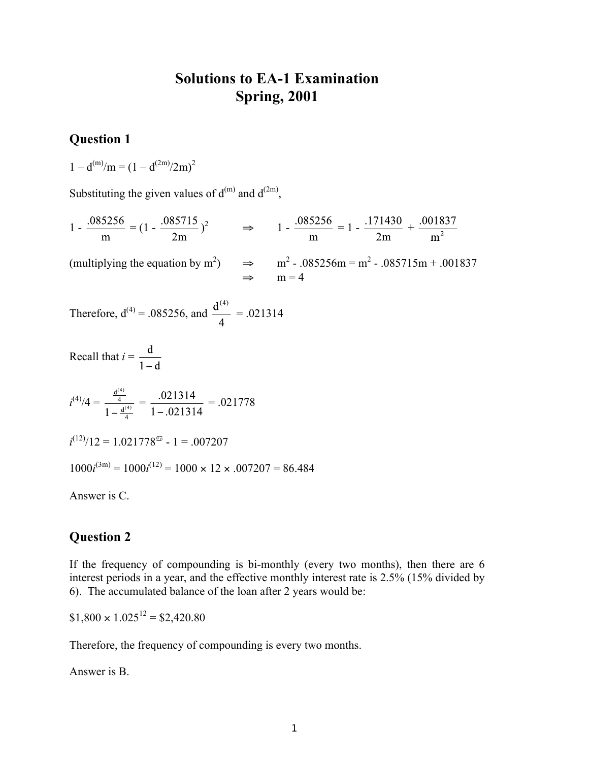# **Solutions to EA-1 Examination Spring, 2001**

## **Question 1**

$$
1-d^{(m)}/m\equiv (1-d^{(2m)}/2m)^2
$$

Substituting the given values of  $d^{(m)}$  and  $d^{(2m)}$ ,

$$
1 - \frac{.085256}{m} = (1 - \frac{.085715}{2m})^2 \qquad \Rightarrow \qquad 1 - \frac{.085256}{m} = 1 - \frac{.171430}{2m} + \frac{.001837}{m^2}
$$

(multiplying the equation by m<sup>2</sup>)  $\Rightarrow$  m<sup>2</sup> - .085256m = m<sup>2</sup> - .085715m + .001837  $\Rightarrow$  m = 4

Therefore, 
$$
d^{(4)} = .085256
$$
, and  $\frac{d^{(4)}}{4} = .021314$ 

Recall that  $i = \frac{d}{1 - d}$  $i^{(4)}/4 = \frac{4}{\sqrt{40}} = \frac{.021314}{2.021314} = .021778$ 

 $i^{(12)}/12 = 1.021778^{\circ} - 1 = .007207$ 

 $1000i^{(3m)} = 1000i^{(12)} = 1000 \times 12 \times .007207 = 86.484$ 

Answer is C.

#### **Question 2**

If the frequency of compounding is bi-monthly (every two months), then there are 6 interest periods in a year, and the effective monthly interest rate is 2.5% (15% divided by 6). The accumulated balance of the loan after 2 years would be:

 $$1,800 \times 1.025^{12} = $2,420.80$ 

Therefore, the frequency of compounding is every two months.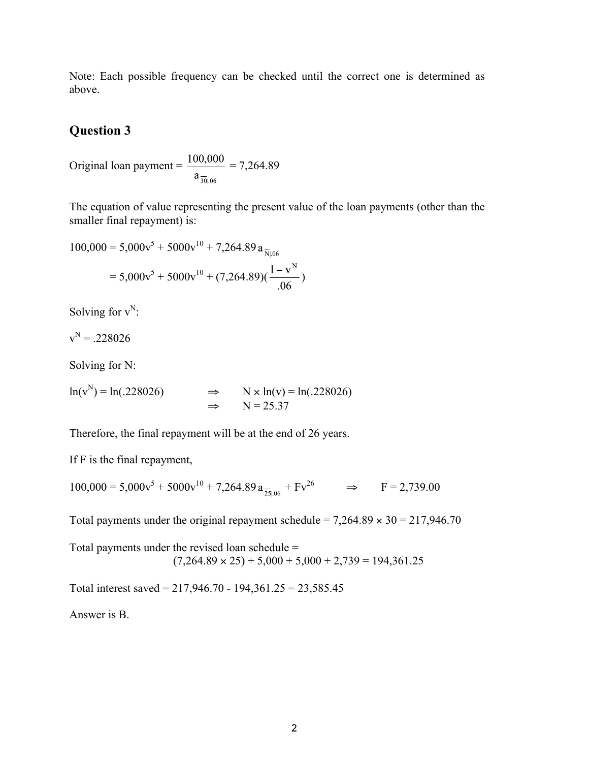Note: Each possible frequency can be checked until the correct one is determined as above.

#### **Question 3**

Original loan payment = 
$$
\frac{100,000}{a_{\frac{30,06}{}}}} = 7,264.89
$$

The equation of value representing the present value of the loan payments (other than the smaller final repayment) is:

$$
100,000 = 5,000v5 + 5000v10 + 7,264.89 a_N06
$$
  
= 5,000v<sup>5</sup> + 5000v<sup>10</sup> + (7,264.89)( $\frac{1 - vN}{.06}$ )

Solving for  $v^N$ :

$$
v^N = .228026
$$

Solving for N:

$$
\ln(v^N) = \ln(.228026) \qquad \Rightarrow \qquad N \times \ln(v) = \ln(.228026)
$$
  

$$
\Rightarrow \qquad N = 25.37
$$

Therefore, the final repayment will be at the end of 26 years.

If F is the final repayment,

 $100,000 = 5,000v^5 + 5000v^{10} + 7,264.89 a_{\frac{75}{2506}} + Fv^{26}$   $\Rightarrow$   $F = 2,739.00$ 

Total payments under the original repayment schedule =  $7,264.89 \times 30 = 217,946.70$ 

Total payments under the revised loan schedule =  $(7,264.89 \times 25) + 5,000 + 5,000 + 2,739 = 194,361.25$ 

Total interest saved = 217,946.70 - 194,361.25 = 23,585.45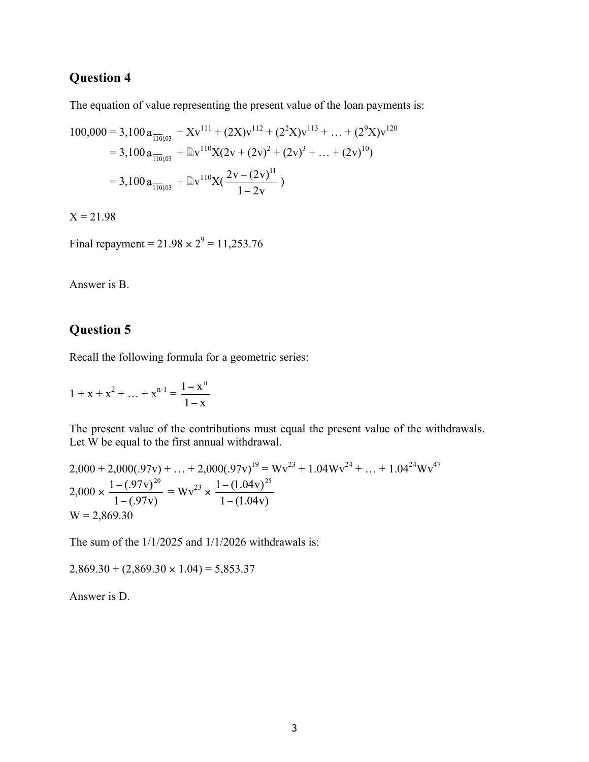The equation of value representing the present value of the loan payments is:

$$
100,000 = 3,100 \, \mathbf{a}_{\overline{110}|03} + \mathbf{X} \mathbf{v}^{111} + (2 \mathbf{X}) \mathbf{v}^{112} + (2^2 \mathbf{X}) \mathbf{v}^{113} + \dots + (2^9 \mathbf{X}) \mathbf{v}^{120}
$$
\n
$$
= 3,100 \, \mathbf{a}_{\overline{110}|03} + \mathbb{B} \mathbf{v}^{110} \mathbf{X} (2 \mathbf{v} + (2 \mathbf{v})^2 + (2 \mathbf{v})^3 + \dots + (2 \mathbf{v})^{10})
$$
\n
$$
= 3,100 \, \mathbf{a}_{\overline{110}|03} + \mathbb{B} \mathbf{v}^{110} \mathbf{X} (\frac{2 \mathbf{v} - (2 \mathbf{v})^{11}}{1 - 2 \mathbf{v}})
$$

 $X = 21.98$ 

Final repayment =  $21.98 \times 2^9 = 11,253.76$ 

Answer is B.

## **Question 5**

Recall the following formula for a geometric series:

$$
1 + x + x2 + ... + xn-1 = \frac{1 - xn}{1 - x}
$$

The present value of the contributions must equal the present value of the withdrawals. Let W be equal to the first annual withdrawal.

$$
2,000 + 2,000(.97v) + ... + 2,000(.97v)^{19} = Wv^{23} + 1.04Wv^{24} + ... + 1.04^{24}Wv^{47}
$$
  

$$
2,000 \times \frac{1 - (.97v)^{20}}{1 - (.97v)} = Wv^{23} \times \frac{1 - (1.04v)^{25}}{1 - (1.04v)}
$$
  

$$
W = 2,869.30
$$

The sum of the 1/1/2025 and 1/1/2026 withdrawals is:

$$
2,869.30 + (2,869.30 \times 1.04) = 5,853.37
$$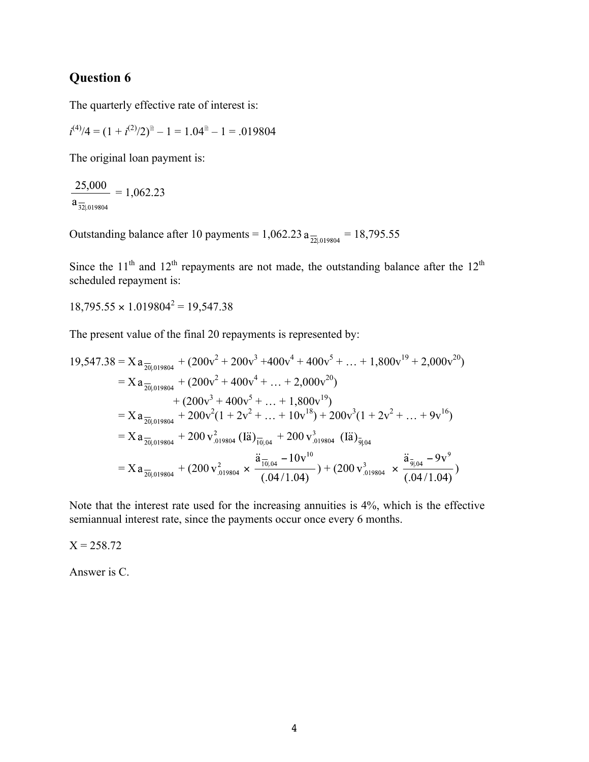The quarterly effective rate of interest is:

$$
i^{(4)}/4 = (1 + i^{(2)}/2)^{2} - 1 = 1.04^{2} - 1 = .019804
$$

The original loan payment is:

$$
\frac{25,000}{a_{\frac{32}{1019804}}}=1,062.23
$$

Outstanding balance after 10 payments =  $1,062.23$   $a_{\frac{22}{1019804}}$  = 18,795.55

Since the  $11<sup>th</sup>$  and  $12<sup>th</sup>$  repayments are not made, the outstanding balance after the  $12<sup>th</sup>$ scheduled repayment is:

 $18,795.55 \times 1.019804^2 = 19,547.38$ 

The present value of the final 20 repayments is represented by:

$$
19,547.38 = X a_{\frac{20}{1019804}} + (200v^2 + 200v^3 + 400v^4 + 400v^5 + ... + 1,800v^{19} + 2,000v^{20})
$$
  
\n
$$
= X a_{\frac{20}{1019804}} + (200v^2 + 400v^4 + ... + 2,000v^{20})
$$
  
\n
$$
+ (200v^3 + 400v^5 + ... + 1,800v^{19})
$$
  
\n
$$
= X a_{\frac{20}{1019804}} + 200v^2(1 + 2v^2 + ... + 10v^{18}) + 200v^3(1 + 2v^2 + ... + 9v^{16})
$$
  
\n
$$
= X a_{\frac{20}{1019804}} + 200v_{.019804}^2 \text{ (Iä)}_{\frac{10}{10104}} + 200v_{.019804}^3 \text{ (Iä)}_{\frac{5}{9104}}
$$
  
\n
$$
= X a_{\frac{20}{201019804}} + (200v_{.019804}^2 \times \frac{\ddot{a}_{\frac{101}{10104}} - 10v^{10}}{(.04/1.04)}) + (200v_{.019804}^3 \times \frac{\ddot{a}_{\frac{5104}{104}} - 9v^9}{(.04/1.04)})
$$

Note that the interest rate used for the increasing annuities is 4%, which is the effective semiannual interest rate, since the payments occur once every 6 months.

 $X = 258.72$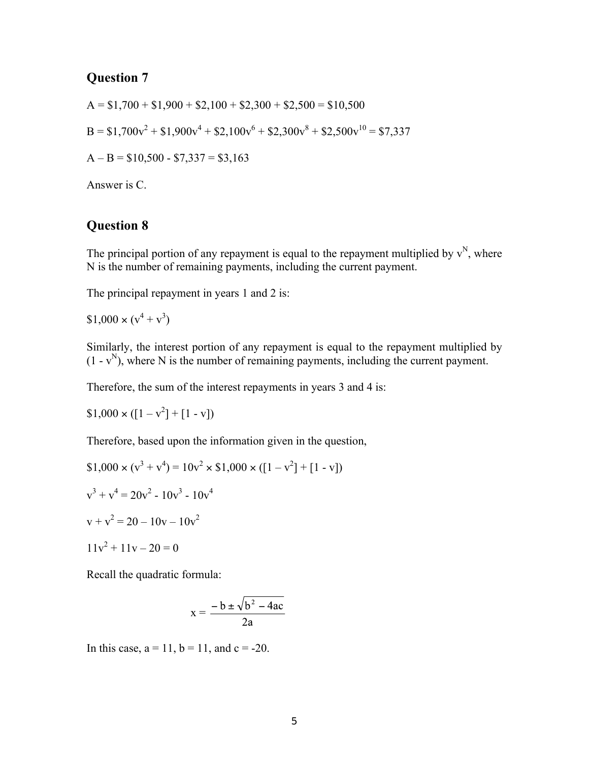$A = $1,700 + $1,900 + $2,100 + $2,300 + $2,500 = $10,500$  $B = $1,700v^2 + $1,900v^4 + $2,100v^6 + $2,300v^8 + $2,500v^{10} = $7,337$  $A - B = $10,500 - $7,337 = $3,163$ Answer is C.

## **Question 8**

The principal portion of any repayment is equal to the repayment multiplied by  $v^N$ , where N is the number of remaining payments, including the current payment.

The principal repayment in years 1 and 2 is:

 $$1,000 \times (v^4 + v^3)$ 

Similarly, the interest portion of any repayment is equal to the repayment multiplied by  $(1 - v<sup>N</sup>)$ , where N is the number of remaining payments, including the current payment.

Therefore, the sum of the interest repayments in years 3 and 4 is:

 $$1,000 \times ([1 - v^2] + [1 - v])$ 

Therefore, based upon the information given in the question,

$$
$1,000 \times (v^3 + v^4) = 10v^2 \times $1,000 \times ([1 - v^2] + [1 - v])
$$
  
\n
$$
v^3 + v^4 = 20v^2 - 10v^3 - 10v^4
$$
  
\n
$$
v + v^2 = 20 - 10v - 10v^2
$$
  
\n
$$
11v^2 + 11v - 20 = 0
$$

Recall the quadratic formula:

$$
x = \frac{-b \pm \sqrt{b^2 - 4ac}}{2a}
$$

In this case,  $a = 11$ ,  $b = 11$ , and  $c = -20$ .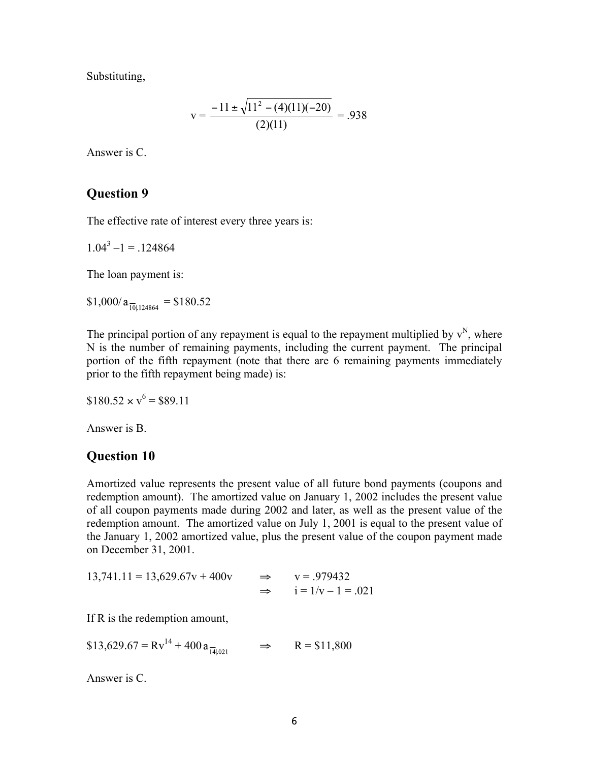Substituting,

$$
v = \frac{-11 \pm \sqrt{11^2 - (4)(11)(-20)}}{(2)(11)} = .938
$$

Answer is C.

## **Question 9**

The effective rate of interest every three years is:

 $1.04^{3} - 1 = 0.124864$ 

The loan payment is:

 $$1,000/a_{\frac{1}{101}124864} = $180.52$ 

The principal portion of any repayment is equal to the repayment multiplied by  $v^N$ , where N is the number of remaining payments, including the current payment. The principal portion of the fifth repayment (note that there are 6 remaining payments immediately prior to the fifth repayment being made) is:

 $$180.52 \times v^6 = $89.11$ 

Answer is B.

## **Question 10**

Amortized value represents the present value of all future bond payments (coupons and redemption amount). The amortized value on January 1, 2002 includes the present value of all coupon payments made during 2002 and later, as well as the present value of the redemption amount. The amortized value on July 1, 2001 is equal to the present value of the January 1, 2002 amortized value, plus the present value of the coupon payment made on December 31, 2001.

 $13,741.11 = 13,629.67v + 400v$  $\Rightarrow$  v = .979432<br>  $\Rightarrow$  i = 1/v - 1 = .021

If R is the redemption amount,

 $$13,629.67 = Rv^{14} + 400 a_{\overline{14}|021} \Rightarrow R = $11,800$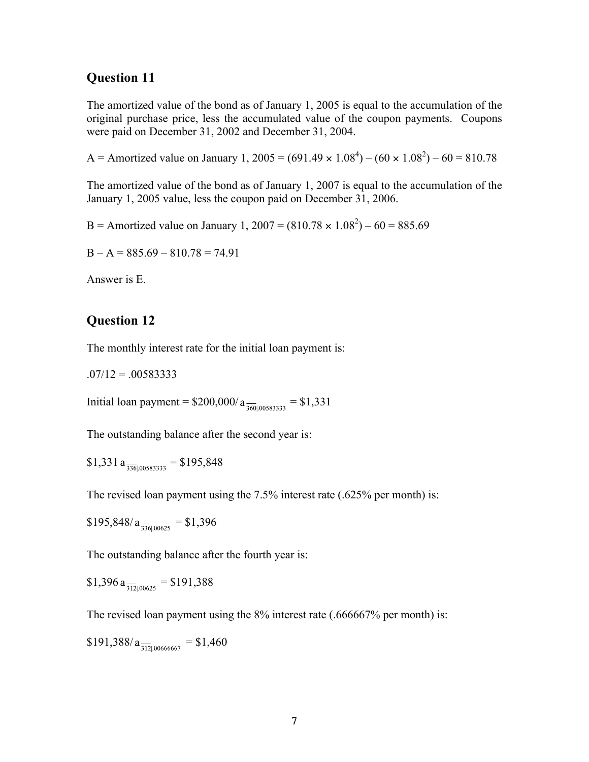The amortized value of the bond as of January 1, 2005 is equal to the accumulation of the original purchase price, less the accumulated value of the coupon payments. Coupons were paid on December 31, 2002 and December 31, 2004.

A = Amortized value on January 1,  $2005 = (691.49 \times 1.08^{4}) - (60 \times 1.08^{2}) - 60 = 810.78$ 

The amortized value of the bond as of January 1, 2007 is equal to the accumulation of the January 1, 2005 value, less the coupon paid on December 31, 2006.

B = Amortized value on January 1,  $2007 = (810.78 \times 1.08^2) - 60 = 885.69$ 

 $B - A = 885.69 - 810.78 = 74.91$ 

Answer is E.

#### **Question 12**

The monthly interest rate for the initial loan payment is:

 $.07/12 = .00583333$ 

Initial loan payment =  $$200,000/a_{\frac{7601,00583333}{1601,00583333}} = $1,331$ 

The outstanding balance after the second year is:

\$1,331  $a_{\frac{336}{00583333}}$  = \$195,848

The revised loan payment using the 7.5% interest rate (.625% per month) is:

\$195,848/ = \$1,396

The outstanding balance after the fourth year is:

$$
$1,396 \, a_{\frac{312}{312}100625} = $191,388
$$

The revised loan payment using the 8% interest rate (.666667% per month) is:

\$191,388/ = \$1,460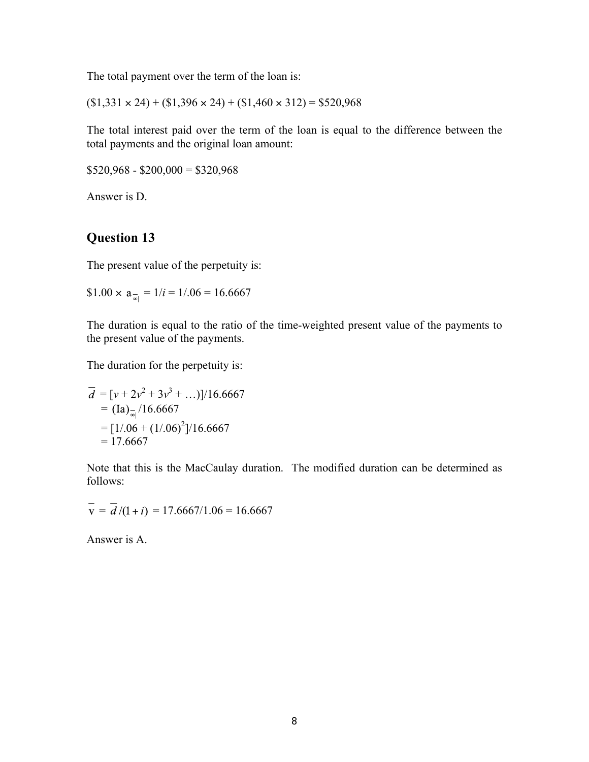The total payment over the term of the loan is:

 $($1,331 \times 24) + ($1,396 \times 24) + ($1,460 \times 312) = $520,968$ 

The total interest paid over the term of the loan is equal to the difference between the total payments and the original loan amount:

 $$520,968 - $200,000 = $320,968$ 

Answer is D.

## **Question 13**

The present value of the perpetuity is:

 $$1.00 \times a_{\infty} = 1/i = 1/.06 = 16.6667$ 

The duration is equal to the ratio of the time-weighted present value of the payments to the present value of the payments.

The duration for the perpetuity is:

$$
\overline{d} = [\nu + 2\nu^2 + 3\nu^3 + \dots)]/16.6667
$$
  
=  $(Ia)_{\overline{\infty}}/16.6667$   
=  $[1/.06 + (1/.06)^2]/16.6667$   
= 17.6667

Note that this is the MacCaulay duration. The modified duration can be determined as follows:

 $\overline{v} = \overline{d}/(1+i) = 17.6667/1.06 = 16.6667$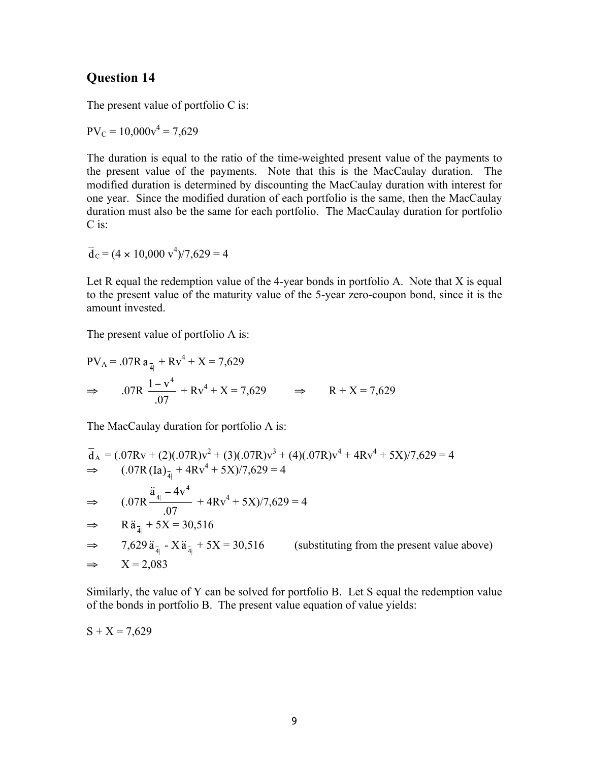The present value of portfolio C is:

 $PV_C = 10,000v^4 = 7,629$ 

The duration is equal to the ratio of the time-weighted present value of the payments to the present value of the payments. Note that this is the MacCaulay duration. The modified duration is determined by discounting the MacCaulay duration with interest for one year. Since the modified duration of each portfolio is the same, then the MacCaulay duration must also be the same for each portfolio. The MacCaulay duration for portfolio C is:

$$
\overline{d}_C = (4 \times 10,000 \, v^4)/7,629 = 4
$$

Let R equal the redemption value of the 4-year bonds in portfolio A. Note that  $X$  is equal to the present value of the maturity value of the 5-year zero-coupon bond, since it is the amount invested.

The present value of portfolio A is:

$$
PV_A = .07R a_{\overline{A}} + Rv^4 + X = 7,629
$$
  
\n
$$
\Rightarrow \qquad .07R \frac{1 - v^4}{.07} + Rv^4 + X = 7,629 \qquad \Rightarrow \qquad R + X = 7,629
$$

The MacCaulay duration for portfolio A is:

$$
\overline{d}_A = (.07Rv + (2)(.07R)v^2 + (3)(.07R)v^3 + (4)(.07R)v^4 + 4Rv^4 + 5X)/7,629 = 4
$$
\n
$$
\Rightarrow (.07R (Ia)_{\overline{4}} + 4Rv^4 + 5X)/7,629 = 4
$$
\n
$$
\Rightarrow (.07R \frac{\ddot{a}_{\overline{4}} - 4v^4}{.07} + 4Rv^4 + 5X)/7,629 = 4
$$
\n
$$
\Rightarrow R\ddot{a}_{\overline{4}} + 5X = 30,516
$$
\n
$$
\Rightarrow 7,629\ddot{a}_{\overline{4}} - X\ddot{a}_{\overline{4}} + 5X = 30,516
$$
 (substituting from the present value above)\n
$$
X = 2,083
$$

Similarly, the value of Y can be solved for portfolio B. Let S equal the redemption value of the bonds in portfolio B. The present value equation of value yields:

 $S + X = 7,629$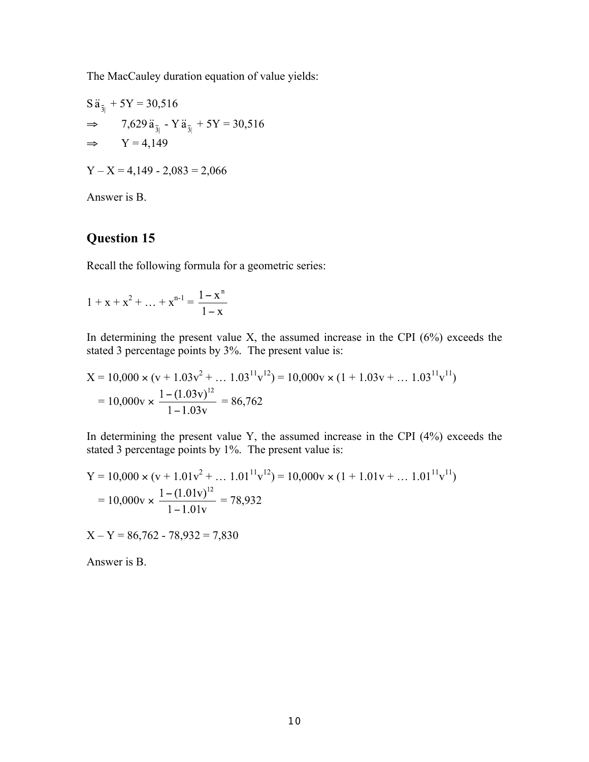The MacCauley duration equation of value yields:

$$
S \ddot{a}_{\bar{3}|} + 5Y = 30,516
$$
  
\n⇒ 7,629  $\ddot{a}_{\bar{3}|} - Y \ddot{a}_{\bar{3}|} + 5Y = 30,516$   
\n⇒ Y = 4,149  
\nY - X = 4,149 - 2,083 = 2,066

Answer is B.

## **Question 15**

Recall the following formula for a geometric series:

$$
1 + x + x^2 + \ldots + x^{n-1} = \frac{1 - x^n}{1 - x}
$$

In determining the present value  $X$ , the assumed increase in the CPI ( $6\%$ ) exceeds the stated 3 percentage points by 3%. The present value is:

$$
X = 10,000 \times (v + 1.03v^{2} + ... 1.03^{11}v^{12}) = 10,000v \times (1 + 1.03v + ... 1.03^{11}v^{11})
$$
  
= 10,000v \times  $\frac{1 - (1.03v)^{12}}{1 - 1.03v}$  = 86,762

In determining the present value Y, the assumed increase in the CPI (4%) exceeds the stated 3 percentage points by 1%. The present value is:

Y = 10,000 × (v + 1.01v<sup>2</sup> + ... 1.01<sup>11</sup>v<sup>12</sup>) = 10,000v × (1 + 1.01v + ... 1.01<sup>11</sup>v<sup>11</sup>)  
= 10,000v × 
$$
\frac{1 - (1.01v)^{12}}{1 - 1.01v}
$$
 = 78,932

 $X - Y = 86,762 - 78,932 = 7,830$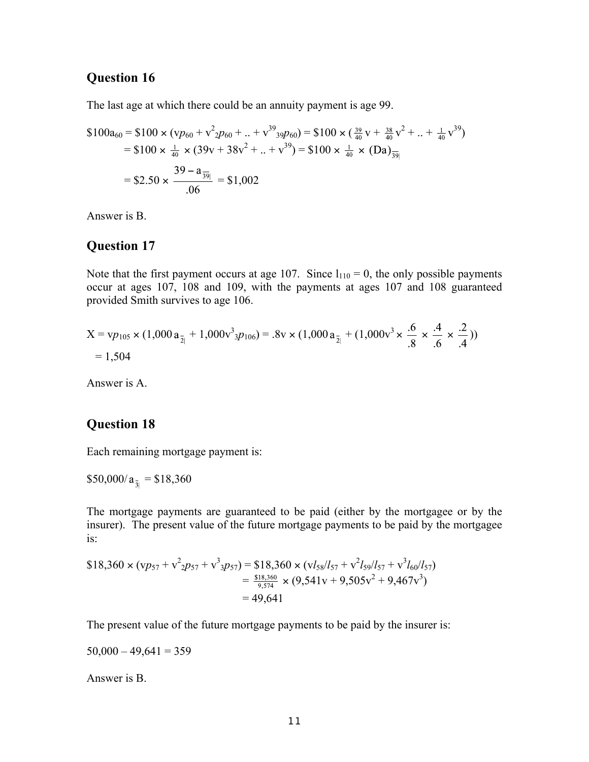The last age at which there could be an annuity payment is age 99.

$$
\$100a_{60} = \$100 \times (vp_{60} + v^2_2p_{60} + ... + v^{39}_{39}p_{60}) = \$100 \times (\frac{39}{40}v + \frac{38}{40}v^2 + ... + \frac{1}{40}v^{39})
$$
  
= \\$100 \times \frac{1}{40} \times (39v + 38v^2 + ... + v^{39}) = \\$100 \times \frac{1}{40} \times (Da)\_{\overline{39}|}  
= \\$2.50 \times \frac{39 - a\_{\overline{39}|}}{.06} = \\$1,002

Answer is B.

#### **Question 17**

Note that the first payment occurs at age 107. Since  $l_{110} = 0$ , the only possible payments occur at ages 107, 108 and 109, with the payments at ages 107 and 108 guaranteed provided Smith survives to age 106.

$$
X = vp_{105} \times (1,000 a_{\bar{2}|} + 1,000v^3_3p_{106}) = .8v \times (1,000 a_{\bar{2}|} + (1,000v^3 \times \frac{.6}{.8} \times \frac{.4}{.6} \times \frac{.2}{.4}))
$$
  
= 1,504

Answer is A.

#### **Question 18**

Each remaining mortgage payment is:

 $$50,000/a_{\frac{1}{3}} = $18,360$ 

The mortgage payments are guaranteed to be paid (either by the mortgagee or by the insurer). The present value of the future mortgage payments to be paid by the mortgagee is:

\$18,360 
$$
\times
$$
 (*vp*<sub>57</sub> + *v*<sup>2</sup><sub>2</sub>*p*<sub>57</sub> + *v*<sup>3</sup><sub>3</sub>*p*<sub>57</sub>) = \$18,360  $\times$  (*vl*<sub>58</sub>/*l*<sub>57</sub> + *v*<sup>2</sup>*l*<sub>59</sub>/*l*<sub>57</sub> + *v*<sup>3</sup>*l*<sub>60</sub>/*l*<sub>57</sub>)  
=  $\frac{$18,360}{$,574}$   $\times$  (9,541v + 9,505v<sup>2</sup> + 9,467v<sup>3</sup>)  
= 49,641

The present value of the future mortgage payments to be paid by the insurer is:

 $50,000 - 49,641 = 359$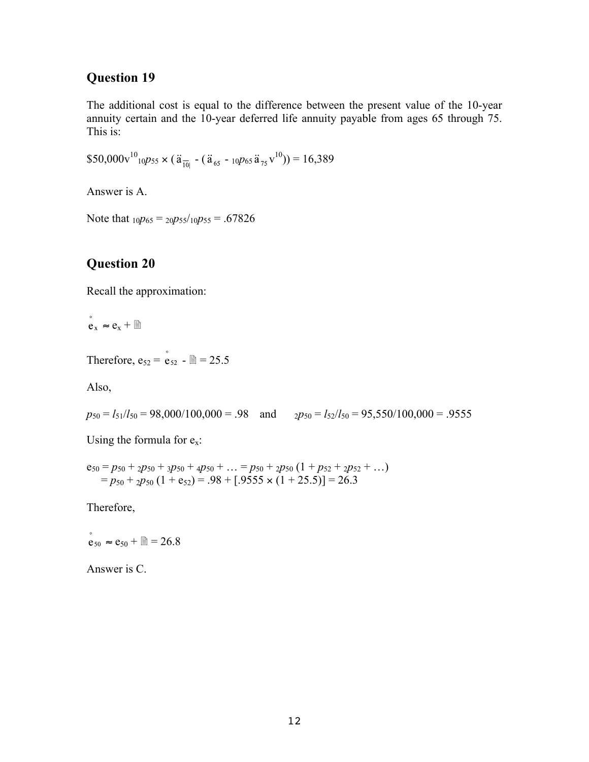The additional cost is equal to the difference between the present value of the 10-year annuity certain and the 10-year deferred life annuity payable from ages 65 through 75. This is:

 $$50,000v^{10}$ <sub>10</sub> $p_{55} \times (\ddot{a}_{\overline{10}} - (\ddot{a}_{65} - 10p_{65} \ddot{a}_{75} v^{10})) = 16,389$ 

Answer is A.

Note that  $_{10}p_{65} = \frac{20p_{55}}{10p_{55}} = .67826$ 

#### **Question 20**

Recall the approximation:

 $\mathbf{e}_x \approx \mathbf{e}_x + \mathbf{e}_x$ 

Therefore,  $e_{52} = \dot{e}_{52} - \text{m} = 25.5$ 

Also,

 $p_{50} = l_{51}/l_{50} = 98,000/100,000 = .98$  and  $p_{50} = l_{52}/l_{50} = 95,550/100,000 = .9555$ 

Using the formula for  $e_x$ :

$$
e_{50} = p_{50} + 2p_{50} + 3p_{50} + 4p_{50} + \dots = p_{50} + 2p_{50} (1 + p_{52} + 2p_{52} + \dots)
$$
  
=  $p_{50} + 2p_{50} (1 + e_{52}) = .98 + [.9555 \times (1 + 25.5)] = 26.3$ 

Therefore,

 $e_{50} \approx e_{50} + \equiv 26.8$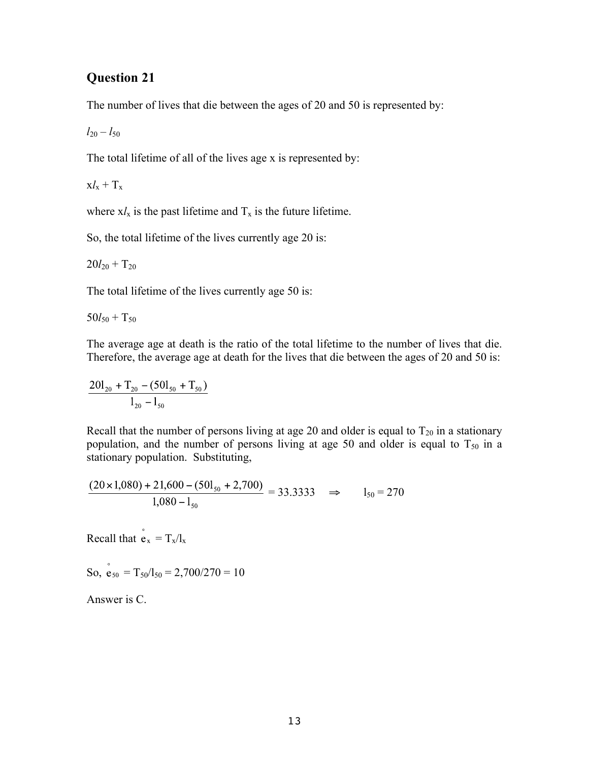The number of lives that die between the ages of 20 and 50 is represented by:

 $l_{20} - l_{50}$ 

The total lifetime of all of the lives age x is represented by:

 $x l_x + T_x$ 

where  $x_l$ <sup>x</sup> is the past lifetime and  $T_x$  is the future lifetime.

So, the total lifetime of the lives currently age 20 is:

 $20l_{20}$  + T<sub>20</sub>

The total lifetime of the lives currently age 50 is:

 $50l_{50} + T_{50}$ 

The average age at death is the ratio of the total lifetime to the number of lives that die. Therefore, the average age at death for the lives that die between the ages of 20 and 50 is:

$$
\frac{20l_{20} + T_{20} - (50l_{50} + T_{50})}{l_{20} - l_{50}}
$$

Recall that the number of persons living at age 20 and older is equal to  $T_{20}$  in a stationary population, and the number of persons living at age 50 and older is equal to  $T_{50}$  in a stationary population. Substituting,

$$
\frac{(20 \times 1,080) + 21,600 - (501_{50} + 2,700)}{1,080 - 1_{50}} = 33.3333 \implies 1_{50} = 270
$$

Recall that  $\mathbf{e}_x = T_x/I_x$ 

So,  $e_{50} = T_{50}/I_{50} = 2{,}700/270 = 10$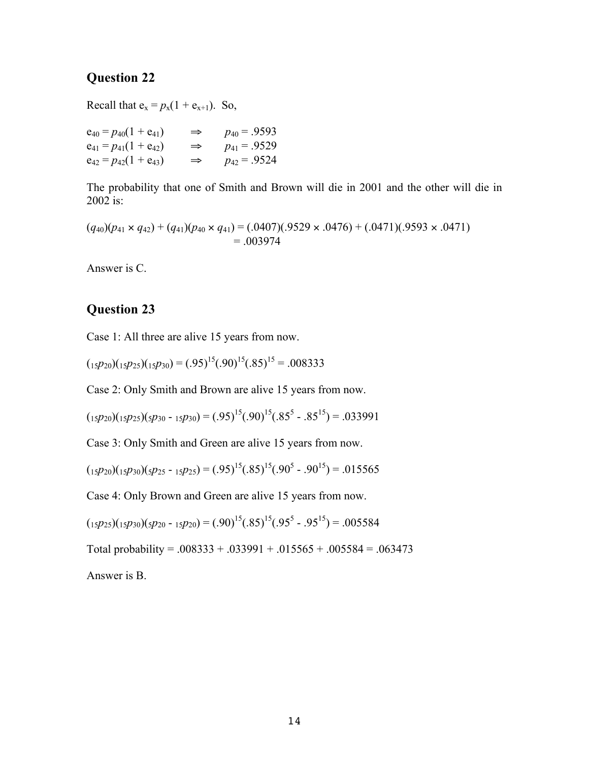Recall that  $e_x = p_x(1 + e_{x+1})$ . So,

| $e_{40} = p_{40}(1 + e_{41})$ | $\Rightarrow$ | $p_{40} = .9593$ |
|-------------------------------|---------------|------------------|
| $e_{41} = p_{41}(1 + e_{42})$ | $\Rightarrow$ | $p_{41} = .9529$ |
| $e_{42} = p_{42}(1 + e_{43})$ | $\Rightarrow$ | $p_{42} = .9524$ |

The probability that one of Smith and Brown will die in 2001 and the other will die in 2002 is:

$$
(q_{40})(p_{41} \times q_{42}) + (q_{41})(p_{40} \times q_{41}) = (.0407)(.9529 \times .0476) + (.0471)(.9593 \times .0471) = .003974
$$

Answer is C.

#### **Question 23**

Case 1: All three are alive 15 years from now.

 $(15p_{20})(15p_{25})(15p_{30}) = (0.95)^{15}(0.90)^{15}(0.85)^{15} = 0.008333$ 

Case 2: Only Smith and Brown are alive 15 years from now.

 $(j_15p_{20})(j_15p_{25})(j_2p_{30} - j_5p_{30}) = (0.95)^{15}(0.90)^{15}(0.85^5 - 0.85^{15}) = 0.033991$ 

Case 3: Only Smith and Green are alive 15 years from now.

 $(15p_{20})(15p_{30})(5p_{25} - 15p_{25}) = (.95)^{15}(.85)^{15}(.90^5 - .90^{15}) = .015565$ 

Case 4: Only Brown and Green are alive 15 years from now.

 $(15p_{25})(15p_{30})(5p_{20} - 15p_{20}) = (0.90)^{15}(.85)^{15}(.95^5 - .95^{15}) = .005584$ 

Total probability =  $.008333 + .033991 + .015565 + .005584 = .063473$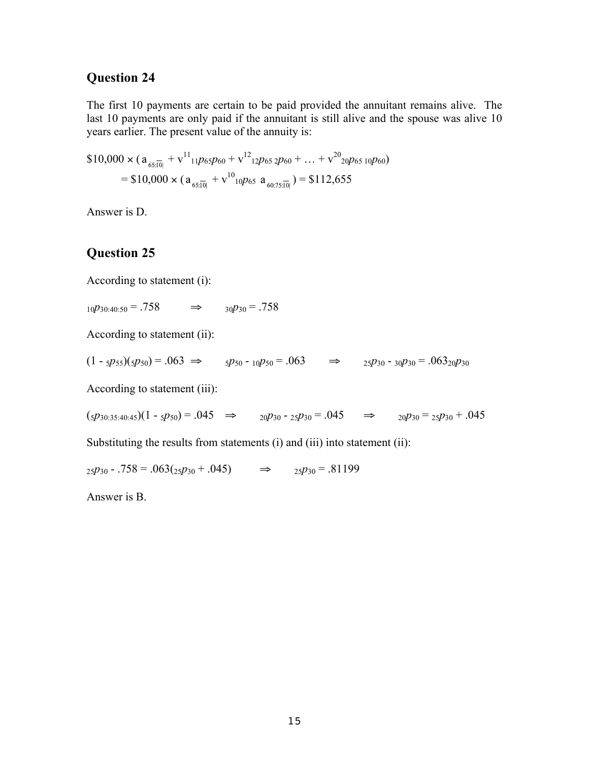The first 10 payments are certain to be paid provided the annuitant remains alive. The last 10 payments are only paid if the annuitant is still alive and the spouse was alive 10 years earlier. The present value of the annuity is:

$$
$10,000 \times (a_{65:\overline{10}|} + v^{11}{}_{11}p_{65}p_{60} + v^{12}{}_{12}p_{65}p_{60} + ... + v^{20}{}_{20}p_{65}p_{60})
$$
  
= \$10,000 \times (a\_{65:\overline{10}|} + v^{10}{}\_{10}p\_{65} a\_{60:75:\overline{10}|}) = \$112,655

Answer is D.

## **Question 25**

According to statement (i):

 $_{10}p_{30:40:50} = .758$   $\implies$   $_{30}p_{30} = .758$ 

According to statement (ii):

 $(1 - sp_{55})(sp_{50}) = .063$  ⇒  $sp_{50} - 10p_{50} = .063$  ⇒  $25p_{30} - 30p_{30} = .063_{20}p_{30}$ 

According to statement (iii):

 $(s_{p30:35:40:45})(1 - sp_{50}) = .045$   $\Rightarrow$   $_{20}p_{30} - 25p_{30} = .045$   $\Rightarrow$   $_{20}p_{30} = 25p_{30} + .045$ 

Substituting the results from statements (i) and (iii) into statement (ii):

 $_{25}p_{30} - .758 = .063({_{25}}p_{30} + .045)$   $\Rightarrow$   $_{25}p_{30} = .81199$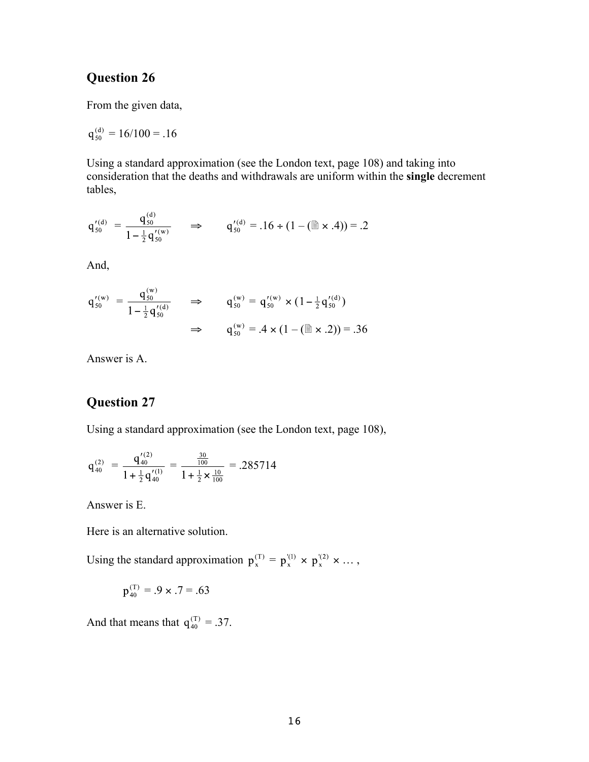From the given data,

$$
q_{50}^{(d)} = 16/100 = .16
$$

Using a standard approximation (see the London text, page 108) and taking into consideration that the deaths and withdrawals are uniform within the **single** decrement tables,

$$
q_{50}^{'(d)} = \frac{q_{50}^{(d)}}{1 - \frac{1}{2} q_{50}^{'(w)}} \qquad \Rightarrow \qquad q_{50}^{'(d)} = .16 \div (1 - (\mathbb{B} \times .4)) = .2
$$

And,

$$
q'_{50}^{(w)} = \frac{q_{50}^{(w)}}{1 - \frac{1}{2}q'_{50}^{(d)}} \qquad \Rightarrow \qquad q_{50}^{(w)} = q'_{50}^{(w)} \times (1 - \frac{1}{2}q'_{50}^{(d)})
$$

$$
\Rightarrow \qquad q_{50}^{(w)} = .4 \times (1 - (\mathbb{B} \times .2)) = .36
$$

Answer is A.

## **Question 27**

Using a standard approximation (see the London text, page 108),

$$
q_{40}^{(2)} = \frac{q_{40}^{'(2)}}{1 + \frac{1}{2}q_{40}^{'(1)}} = \frac{\frac{30}{100}}{1 + \frac{1}{2} \times \frac{10}{100}} = .285714
$$

Answer is E.

Here is an alternative solution.

Using the standard approximation  $p_x^{(T)} = p_x^{(1)} \times p_x^{(2)} \times ...$ ,

$$
p_{40}^{(T)} = .9 \times .7 = .63
$$

And that means that  $q_{40}^{(T)} = .37$ .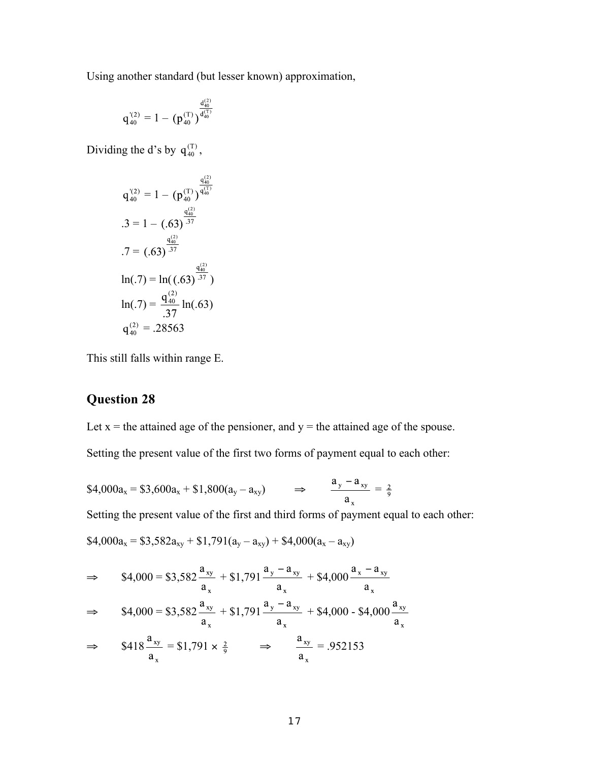Using another standard (but lesser known) approximation,

$$
q_{40}^{\text{\tiny{(2)}}}=1-\big(p_{40}^{\text{\tiny{(T)}}}\big)^{\frac{d_{40}^{\text{\tiny{(2)}}}}{d_{40}^{\text{\tiny{(T)}}}}}
$$

Dividing the d's by  $q_{40}^{(T)}$ ,

$$
q_{40}^{(2)} = 1 - (p_{40}^{(T)})^{\frac{q_{40}^{(2)}}{q_{40}^{(T)}}}
$$
  
.3 = 1 - (.63)<sup>37</sup>  
.7 = (.63)<sup>37</sup>  

$$
\ln(.7) = \ln(.63)^{\frac{q_{40}^{(2)}}{37}}
$$
  

$$
\ln(.7) = \frac{q_{40}^{(2)}}{37} \ln(.63)
$$
  

$$
q_{40}^{(2)} = .28563
$$

This still falls within range E.

## **Question 28**

Let  $x =$  the attained age of the pensioner, and  $y =$  the attained age of the spouse.

Setting the present value of the first two forms of payment equal to each other:

 $$4,000a_x = $3,600a_x + $1,800(a_y - a_{xy}) \Rightarrow \frac{a_y - a_{xy}}{a_y} = \frac{2}{9}$ 

Setting the present value of the first and third forms of payment equal to each other:

 $$4,000a_x = $3,582a_{xy} + $1,791(a_y - a_{xy}) + $4,000(a_x - a_{xy})$ 

$$
\Rightarrow \qquad $4,000 = $3,582 \frac{a_{xy}}{a_x} + $1,791 \frac{a_y - a_{xy}}{a_x} + $4,000 \frac{a_x - a_{xy}}{a_x}
$$

$$
\Rightarrow \qquad $4,000 = $3,582 \frac{a_{xy}}{a_x} + $1,791 \frac{a_y - a_{xy}}{a_x} + $4,000 - $4,000 \frac{a_{xy}}{a_x}
$$

$$
\Rightarrow \qquad $418 \frac{a_{xy}}{a_x} = $1,791 \times \frac{2}{9} \qquad \Rightarrow \qquad \frac{a_{xy}}{a_x} = .952153
$$